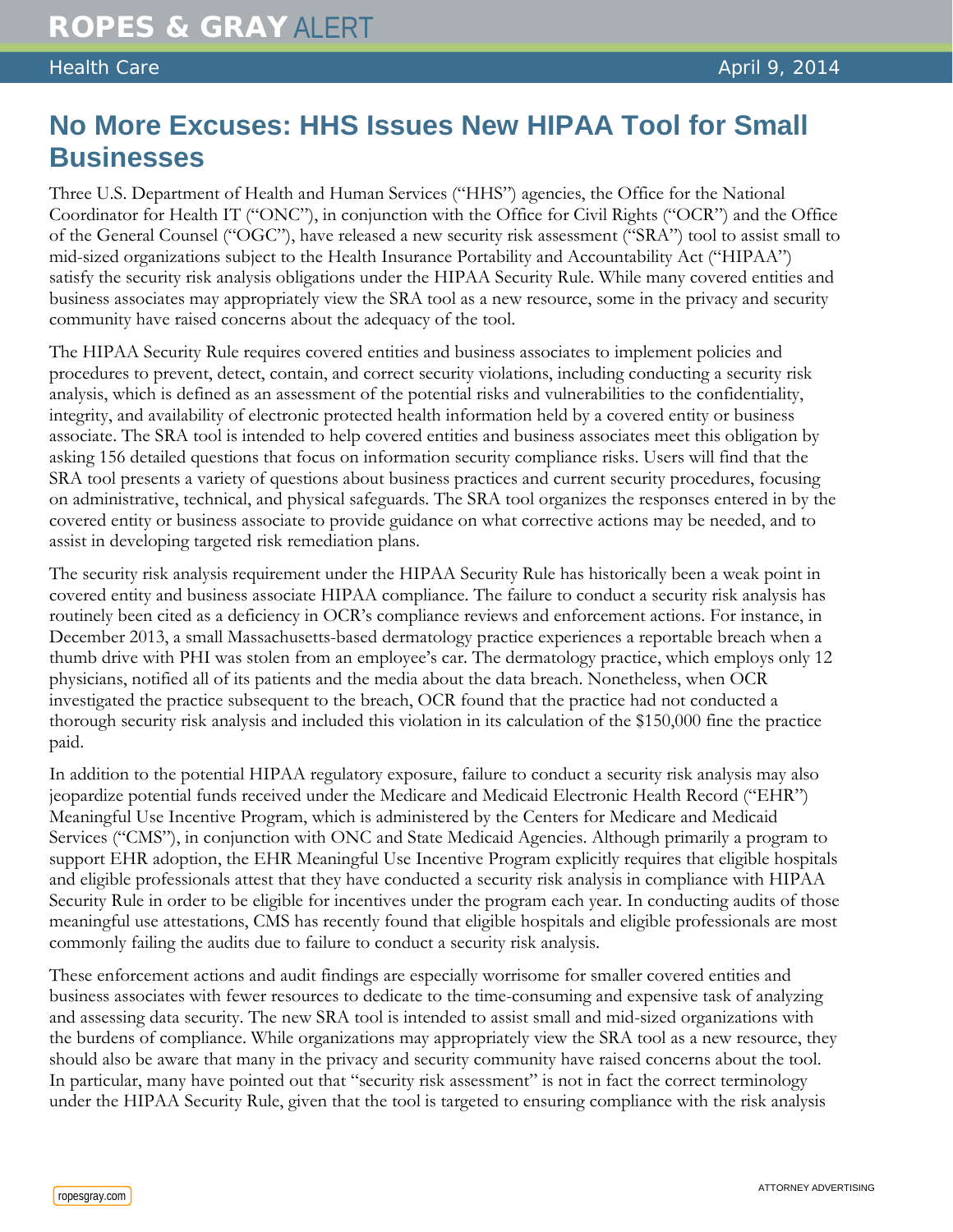## **No More Excuses: HHS Issues New HIPAA Tool for Small Businesses**

Three U.S. Department of Health and Human Services ("HHS") agencies, the Office for the National Coordinator for Health IT ("ONC"), in conjunction with the Office for Civil Rights ("OCR") and the Office of the General Counsel ("OGC"), have released a new security risk assessment ("SRA") tool to assist small to mid-sized organizations subject to the Health Insurance Portability and Accountability Act ("HIPAA") satisfy the security risk analysis obligations under the HIPAA Security Rule. While many covered entities and business associates may appropriately view the SRA tool as a new resource, some in the privacy and security community have raised concerns about the adequacy of the tool.

The HIPAA Security Rule requires covered entities and business associates to implement policies and procedures to prevent, detect, contain, and correct security violations, including conducting a security risk analysis, which is defined as an assessment of the potential risks and vulnerabilities to the confidentiality, integrity, and availability of electronic protected health information held by a covered entity or business associate. The SRA tool is intended to help covered entities and business associates meet this obligation by asking 156 detailed questions that focus on information security compliance risks. Users will find that the SRA tool presents a variety of questions about business practices and current security procedures, focusing on administrative, technical, and physical safeguards. The SRA tool organizes the responses entered in by the covered entity or business associate to provide guidance on what corrective actions may be needed, and to assist in developing targeted risk remediation plans.

The security risk analysis requirement under the HIPAA Security Rule has historically been a weak point in covered entity and business associate HIPAA compliance. The failure to conduct a security risk analysis has routinely been cited as a deficiency in OCR's compliance reviews and enforcement actions. For instance, in December 2013, a small Massachusetts-based dermatology practice experiences a reportable breach when a thumb drive with PHI was stolen from an employee's car. The dermatology practice, which employs only 12 physicians, notified all of its patients and the media about the data breach. Nonetheless, when OCR investigated the practice subsequent to the breach, OCR found that the practice had not conducted a thorough security risk analysis and included this violation in its calculation of the \$150,000 fine the practice paid.

In addition to the potential HIPAA regulatory exposure, failure to conduct a security risk analysis may also jeopardize potential funds received under the Medicare and Medicaid Electronic Health Record ("EHR") Meaningful Use Incentive Program, which is administered by the Centers for Medicare and Medicaid Services ("CMS"), in conjunction with ONC and State Medicaid Agencies. Although primarily a program to support EHR adoption, the EHR Meaningful Use Incentive Program explicitly requires that eligible hospitals and eligible professionals attest that they have conducted a security risk analysis in compliance with HIPAA Security Rule in order to be eligible for incentives under the program each year. In conducting audits of those meaningful use attestations, CMS has recently found that eligible hospitals and eligible professionals are most commonly failing the audits due to failure to conduct a security risk analysis.

These enforcement actions and audit findings are especially worrisome for smaller covered entities and business associates with fewer resources to dedicate to the time-consuming and expensive task of analyzing and assessing data security. The new SRA tool is intended to assist small and mid-sized organizations with the burdens of compliance. While organizations may appropriately view the SRA tool as a new resource, they should also be aware that many in the privacy and security community have raised concerns about the tool. In particular, many have pointed out that "security risk assessment" is not in fact the correct terminology under the HIPAA Security Rule, given that the tool is targeted to ensuring compliance with the risk analysis